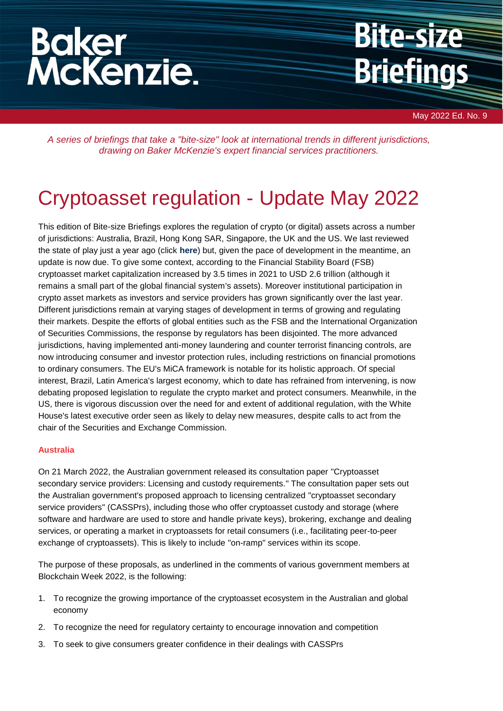# **Baker<br>McKenzie.**

## **Bite-size Briefings**

May 2022 Ed. No. 9

*A series of briefings that take a "bite-size" look at international trends in different jurisdictions, drawing on Baker McKenzie's expert financial services practitioners.*

### Cryptoasset regulation - Update May 2022

This edition of Bite-size Briefings explores the regulation of crypto (or digital) assets across a number of jurisdictions: Australia, Brazil, Hong Kong SAR, Singapore, the UK and the US. We last reviewed the state of play just a year ago (click **[here](https://www.bakermckenzie.com/en/insight/publications/2021/04/bitesize-briefings-cryptoasset-regulation)**) but, given the pace of development in the meantime, an update is now due. To give some context, according to the Financial Stability Board (FSB) cryptoasset market capitalization increased by 3.5 times in 2021 to USD 2.6 trillion (although it remains a small part of the global financial system's assets). Moreover institutional participation in crypto asset markets as investors and service providers has grown significantly over the last year. Different jurisdictions remain at varying stages of development in terms of growing and regulating their markets. Despite the efforts of global entities such as the FSB and the International Organization of Securities Commissions, the response by regulators has been disjointed. The more advanced jurisdictions, having implemented anti-money laundering and counter terrorist financing controls, are now introducing consumer and investor protection rules, including restrictions on financial promotions to ordinary consumers. The EU's MiCA framework is notable for its holistic approach. Of special interest, Brazil, Latin America's largest economy, which to date has refrained from intervening, is now debating proposed legislation to regulate the crypto market and protect consumers. Meanwhile, in the US, there is vigorous discussion over the need for and extent of additional regulation, with the White House's latest executive order seen as likely to delay new measures, despite calls to act from the chair of the Securities and Exchange Commission.

#### **Australia**

On 21 March 2022, the Australian government released its consultation paper "Cryptoasset secondary service providers: Licensing and custody requirements." The consultation paper sets out the Australian government's proposed approach to licensing centralized "cryptoasset secondary service providers" (CASSPrs), including those who offer cryptoasset custody and storage (where software and hardware are used to store and handle private keys), brokering, exchange and dealing services, or operating a market in cryptoassets for retail consumers (i.e., facilitating peer-to-peer exchange of cryptoassets). This is likely to include "on-ramp" services within its scope.

The purpose of these proposals, as underlined in the comments of various government members at Blockchain Week 2022, is the following:

- 1. To recognize the growing importance of the cryptoasset ecosystem in the Australian and global economy
- 2. To recognize the need for regulatory certainty to encourage innovation and competition
- 3. To seek to give consumers greater confidence in their dealings with CASSPrs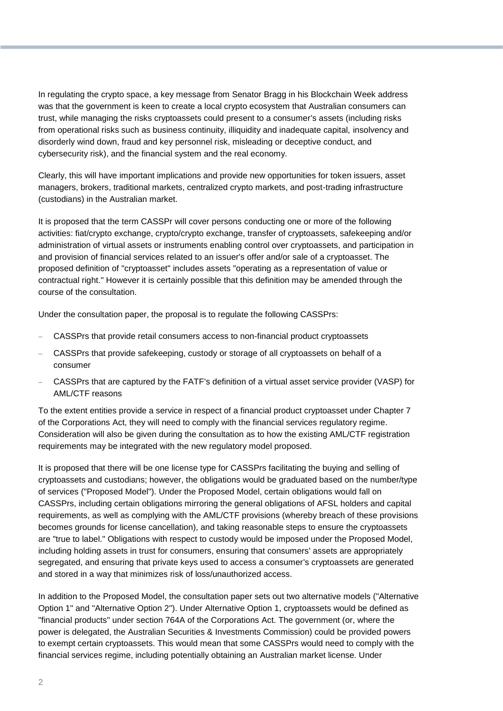In regulating the crypto space, a key message from Senator Bragg in his Blockchain Week address was that the government is keen to create a local crypto ecosystem that Australian consumers can trust, while managing the risks cryptoassets could present to a consumer's assets (including risks from operational risks such as business continuity, illiquidity and inadequate capital, insolvency and disorderly wind down, fraud and key personnel risk, misleading or deceptive conduct, and cybersecurity risk), and the financial system and the real economy.

Clearly, this will have important implications and provide new opportunities for token issuers, asset managers, brokers, traditional markets, centralized crypto markets, and post-trading infrastructure (custodians) in the Australian market.

It is proposed that the term CASSPr will cover persons conducting one or more of the following activities: fiat/crypto exchange, crypto/crypto exchange, transfer of cryptoassets, safekeeping and/or administration of virtual assets or instruments enabling control over cryptoassets, and participation in and provision of financial services related to an issuer's offer and/or sale of a cryptoasset. The proposed definition of "cryptoasset" includes assets "operating as a representation of value or contractual right." However it is certainly possible that this definition may be amended through the course of the consultation.

Under the consultation paper, the proposal is to regulate the following CASSPrs:

- CASSPrs that provide retail consumers access to non-financial product cryptoassets
- CASSPrs that provide safekeeping, custody or storage of all cryptoassets on behalf of a consumer
- CASSPrs that are captured by the FATF's definition of a virtual asset service provider (VASP) for AML/CTF reasons

To the extent entities provide a service in respect of a financial product cryptoasset under Chapter 7 of the Corporations Act, they will need to comply with the financial services regulatory regime. Consideration will also be given during the consultation as to how the existing AML/CTF registration requirements may be integrated with the new regulatory model proposed.

It is proposed that there will be one license type for CASSPrs facilitating the buying and selling of cryptoassets and custodians; however, the obligations would be graduated based on the number/type of services ("Proposed Model"). Under the Proposed Model, certain obligations would fall on CASSPrs, including certain obligations mirroring the general obligations of AFSL holders and capital requirements, as well as complying with the AML/CTF provisions (whereby breach of these provisions becomes grounds for license cancellation), and taking reasonable steps to ensure the cryptoassets are "true to label." Obligations with respect to custody would be imposed under the Proposed Model, including holding assets in trust for consumers, ensuring that consumers' assets are appropriately segregated, and ensuring that private keys used to access a consumer's cryptoassets are generated and stored in a way that minimizes risk of loss/unauthorized access.

In addition to the Proposed Model, the consultation paper sets out two alternative models ("Alternative Option 1" and "Alternative Option 2"). Under Alternative Option 1, cryptoassets would be defined as "financial products" under section 764A of the Corporations Act. The government (or, where the power is delegated, the Australian Securities & Investments Commission) could be provided powers to exempt certain cryptoassets. This would mean that some CASSPrs would need to comply with the financial services regime, including potentially obtaining an Australian market license. Under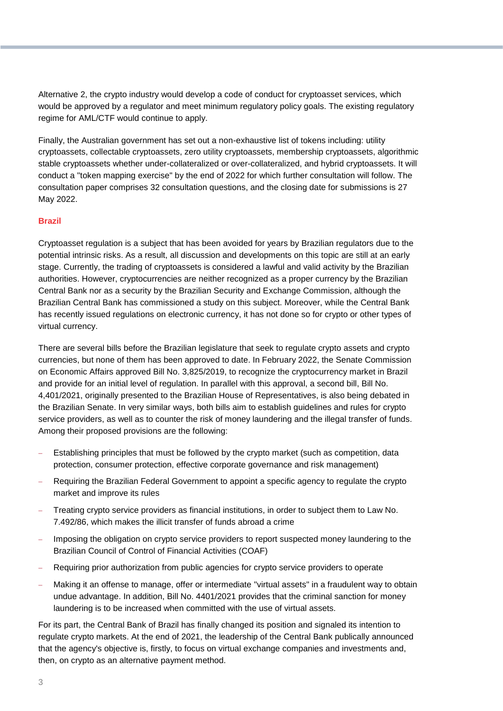Alternative 2, the crypto industry would develop a code of conduct for cryptoasset services, which would be approved by a regulator and meet minimum regulatory policy goals. The existing regulatory regime for AML/CTF would continue to apply.

Finally, the Australian government has set out a non-exhaustive list of tokens including: utility cryptoassets, collectable cryptoassets, zero utility cryptoassets, membership cryptoassets, algorithmic stable cryptoassets whether under-collateralized or over-collateralized, and hybrid cryptoassets. It will conduct a "token mapping exercise" by the end of 2022 for which further consultation will follow. The consultation paper comprises 32 consultation questions, and the closing date for submissions is 27 May 2022.

#### **Brazil**

Cryptoasset regulation is a subject that has been avoided for years by Brazilian regulators due to the potential intrinsic risks. As a result, all discussion and developments on this topic are still at an early stage. Currently, the trading of cryptoassets is considered a lawful and valid activity by the Brazilian authorities. However, cryptocurrencies are neither recognized as a proper currency by the Brazilian Central Bank nor as a security by the Brazilian Security and Exchange Commission, although the Brazilian Central Bank has commissioned a study on this subject. Moreover, while the Central Bank has recently issued regulations on electronic currency, it has not done so for crypto or other types of virtual currency.

There are several bills before the Brazilian legislature that seek to regulate crypto assets and crypto currencies, but none of them has been approved to date. In February 2022, the Senate Commission on Economic Affairs approved Bill No. 3,825/2019, to recognize the cryptocurrency market in Brazil and provide for an initial level of regulation. In parallel with this approval, a second bill, Bill No. 4,401/2021, originally presented to the Brazilian House of Representatives, is also being debated in the Brazilian Senate. In very similar ways, both bills aim to establish guidelines and rules for crypto service providers, as well as to counter the risk of money laundering and the illegal transfer of funds. Among their proposed provisions are the following:

- Establishing principles that must be followed by the crypto market (such as competition, data protection, consumer protection, effective corporate governance and risk management)
- Requiring the Brazilian Federal Government to appoint a specific agency to regulate the crypto market and improve its rules
- Treating crypto service providers as financial institutions, in order to subject them to Law No. 7.492/86, which makes the illicit transfer of funds abroad a crime
- Imposing the obligation on crypto service providers to report suspected money laundering to the Brazilian Council of Control of Financial Activities (COAF)
- Requiring prior authorization from public agencies for crypto service providers to operate
- Making it an offense to manage, offer or intermediate "virtual assets" in a fraudulent way to obtain undue advantage. In addition, Bill No. 4401/2021 provides that the criminal sanction for money laundering is to be increased when committed with the use of virtual assets.

For its part, the Central Bank of Brazil has finally changed its position and signaled its intention to regulate crypto markets. At the end of 2021, the leadership of the Central Bank publically announced that the agency's objective is, firstly, to focus on virtual exchange companies and investments and, then, on crypto as an alternative payment method.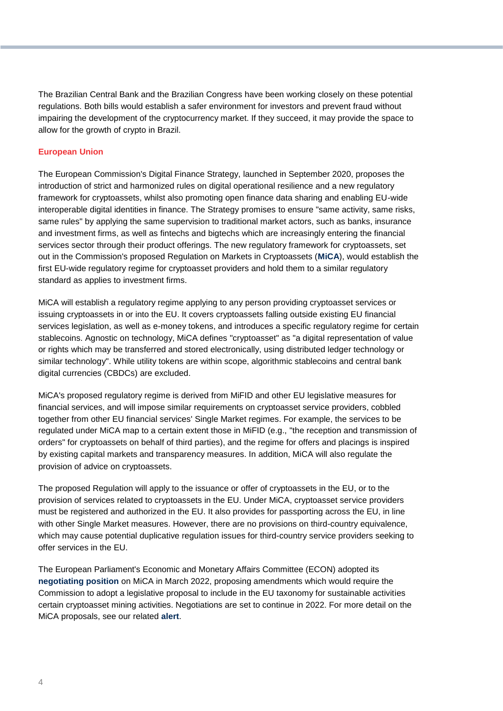The Brazilian Central Bank and the Brazilian Congress have been working closely on these potential regulations. Both bills would establish a safer environment for investors and prevent fraud without impairing the development of the cryptocurrency market. If they succeed, it may provide the space to allow for the growth of crypto in Brazil.

#### **European Union**

The European Commission's Digital Finance Strategy, launched in September 2020, proposes the introduction of strict and harmonized rules on digital operational resilience and a new regulatory framework for cryptoassets, whilst also promoting open finance data sharing and enabling EU-wide interoperable digital identities in finance. The Strategy promises to ensure "same activity, same risks, same rules" by applying the same supervision to traditional market actors, such as banks, insurance and investment firms, as well as fintechs and bigtechs which are increasingly entering the financial services sector through their product offerings. The new regulatory framework for cryptoassets, set out in the Commission's proposed Regulation on Markets in Cryptoassets (**[MiCA](https://eur-lex.europa.eu/legal-content/EN/TXT/?uri=CELEX%3A52020PC0593)**), would establish the first EU-wide regulatory regime for cryptoasset providers and hold them to a similar regulatory standard as applies to investment firms.

MiCA will establish a regulatory regime applying to any person providing cryptoasset services or issuing cryptoassets in or into the EU. It covers cryptoassets falling outside existing EU financial services legislation, as well as e-money tokens, and introduces a specific regulatory regime for certain stablecoins. Agnostic on technology, MiCA defines "cryptoasset" as "a digital representation of value or rights which may be transferred and stored electronically, using distributed ledger technology or similar technology". While utility tokens are within scope, algorithmic stablecoins and central bank digital currencies (CBDCs) are excluded.

MiCA's proposed regulatory regime is derived from MiFID and other EU legislative measures for financial services, and will impose similar requirements on cryptoasset service providers, cobbled together from other EU financial services' Single Market regimes. For example, the services to be regulated under MiCA map to a certain extent those in MiFID (e.g., "the reception and transmission of orders" for cryptoassets on behalf of third parties), and the regime for offers and placings is inspired by existing capital markets and transparency measures. In addition, MiCA will also regulate the provision of advice on cryptoassets.

The proposed Regulation will apply to the issuance or offer of cryptoassets in the EU, or to the provision of services related to cryptoassets in the EU. Under MiCA, cryptoasset service providers must be registered and authorized in the EU. It also provides for passporting across the EU, in line with other Single Market measures. However, there are no provisions on third-country equivalence, which may cause potential duplicative regulation issues for third-country service providers seeking to offer services in the EU.

The European Parliament's Economic and Monetary Affairs Committee (ECON) adopted its **[negotiating position](https://www.europarl.europa.eu/news/en/press-room/20220309IPR25162/cryptocurrencies-in-the-eu-new-rules-to-boost-benefits-and-curb-threats)** on MiCA in March 2022, proposing amendments which would require the Commission to adopt a legislative proposal to include in the EU taxonomy for sustainable activities certain cryptoasset mining activities. Negotiations are set to continue in 2022. For more detail on the MiCA proposals, see our related **[alert](https://insightplus.bakermckenzie.com/bm/banking-finance_1/united-kingdom-a-review-of-hmts-proposed-cryptoassets-regime-and-how-it-compares-to-mica)**.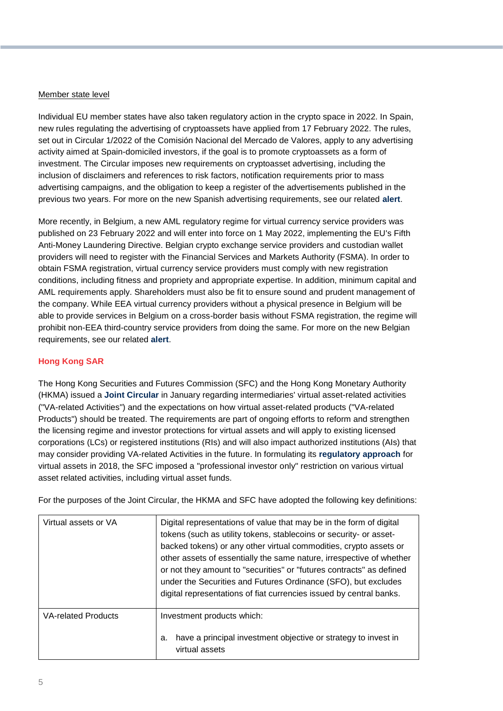#### Member state level

Individual EU member states have also taken regulatory action in the crypto space in 2022. In Spain, new rules regulating the advertising of cryptoassets have applied from 17 February 2022. The rules, set out in Circular 1/2022 of the Comisión Nacional del Mercado de Valores, apply to any advertising activity aimed at Spain-domiciled investors, if the goal is to promote cryptoassets as a form of investment. The Circular imposes new requirements on cryptoasset advertising, including the inclusion of disclaimers and references to risk factors, notification requirements prior to mass advertising campaigns, and the obligation to keep a register of the advertisements published in the previous two years. For more on the new Spanish advertising requirements, see our related **[alert](https://insightplus.bakermckenzie.com/bm/banking-finance_1/spain-new-rules-issued-regulating-the-advertising-of-crypto-assets)**.

More recently, in Belgium, a new AML regulatory regime for virtual currency service providers was published on 23 February 2022 and will enter into force on 1 May 2022, implementing the EU's Fifth Anti-Money Laundering Directive. Belgian crypto exchange service providers and custodian wallet providers will need to register with the Financial Services and Markets Authority (FSMA). In order to obtain FSMA registration, virtual currency service providers must comply with new registration conditions, including fitness and propriety and appropriate expertise. In addition, minimum capital and AML requirements apply. Shareholders must also be fit to ensure sound and prudent management of the company. While EEA virtual currency providers without a physical presence in Belgium will be able to provide services in Belgium on a cross-border basis without FSMA registration, the regime will prohibit non-EEA third-country service providers from doing the same. For more on the new Belgian requirements, see our related **[alert](https://insightplus.bakermckenzie.com/bm/banking-finance_1/belgium-new-regulatory-regime-for-virtual-currency-service-providers)**.

#### **Hong Kong SAR**

The Hong Kong Securities and Futures Commission (SFC) and the Hong Kong Monetary Authority (HKMA) issued a **[Joint Circular](https://www.hkma.gov.hk/media/eng/doc/key-information/guidelines-and-circular/2022/20220128e2.pdf)** in January regarding intermediaries' virtual asset-related activities ("VA-related Activities") and the expectations on how virtual asset-related products ("VA-related Products") should be treated. The requirements are part of ongoing efforts to reform and strengthen the licensing regime and investor protections for virtual assets and will apply to existing licensed corporations (LCs) or registered institutions (RIs) and will also impact authorized institutions (AIs) that may consider providing VA-related Activities in the future. In formulating its **[regulatory approach](https://apps.sfc.hk/edistributionWeb/gateway/EN/circular/intermediaries/supervision/doc?refNo=18EC78)** for virtual assets in 2018, the SFC imposed a "professional investor only" restriction on various virtual asset related activities, including virtual asset funds.

For the purposes of the Joint Circular, the HKMA and SFC have adopted the following key definitions:

| Virtual assets or VA       | Digital representations of value that may be in the form of digital<br>tokens (such as utility tokens, stablecoins or security- or asset-<br>backed tokens) or any other virtual commodities, crypto assets or<br>other assets of essentially the same nature, irrespective of whether<br>or not they amount to "securities" or "futures contracts" as defined<br>under the Securities and Futures Ordinance (SFO), but excludes<br>digital representations of fiat currencies issued by central banks. |
|----------------------------|---------------------------------------------------------------------------------------------------------------------------------------------------------------------------------------------------------------------------------------------------------------------------------------------------------------------------------------------------------------------------------------------------------------------------------------------------------------------------------------------------------|
| <b>VA-related Products</b> | Investment products which:<br>have a principal investment objective or strategy to invest in<br>a.<br>virtual assets                                                                                                                                                                                                                                                                                                                                                                                    |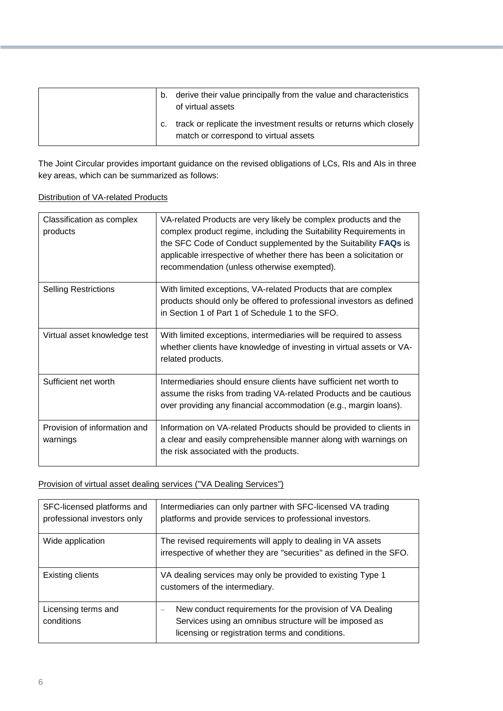| b. | derive their value principally from the value and characteristics<br>of virtual assets                      |
|----|-------------------------------------------------------------------------------------------------------------|
|    | track or replicate the investment results or returns which closely<br>match or correspond to virtual assets |

The Joint Circular provides important guidance on the revised obligations of LCs, RIs and AIs in three key areas, which can be summarized as follows:

#### Distribution of VA-related Products

| Classification as complex<br>products    | VA-related Products are very likely be complex products and the<br>complex product regime, including the Suitability Requirements in<br>the SFC Code of Conduct supplemented by the Suitability FAQs is<br>applicable irrespective of whether there has been a solicitation or<br>recommendation (unless otherwise exempted). |
|------------------------------------------|-------------------------------------------------------------------------------------------------------------------------------------------------------------------------------------------------------------------------------------------------------------------------------------------------------------------------------|
| <b>Selling Restrictions</b>              | With limited exceptions, VA-related Products that are complex<br>products should only be offered to professional investors as defined<br>in Section 1 of Part 1 of Schedule 1 to the SFO.                                                                                                                                     |
| Virtual asset knowledge test             | With limited exceptions, intermediaries will be required to assess<br>whether clients have knowledge of investing in virtual assets or VA-<br>related products.                                                                                                                                                               |
| Sufficient net worth                     | Intermediaries should ensure clients have sufficient net worth to<br>assume the risks from trading VA-related Products and be cautious<br>over providing any financial accommodation (e.g., margin loans).                                                                                                                    |
| Provision of information and<br>warnings | Information on VA-related Products should be provided to clients in<br>a clear and easily comprehensible manner along with warnings on<br>the risk associated with the products.                                                                                                                                              |

#### Provision of virtual asset dealing services ("VA Dealing Services")

| SFC-licensed platforms and<br>professional investors only | Intermediaries can only partner with SFC-licensed VA trading<br>platforms and provide services to professional investors.                                             |
|-----------------------------------------------------------|-----------------------------------------------------------------------------------------------------------------------------------------------------------------------|
| Wide application                                          | The revised requirements will apply to dealing in VA assets<br>irrespective of whether they are "securities" as defined in the SFO.                                   |
| <b>Existing clients</b>                                   | VA dealing services may only be provided to existing Type 1<br>customers of the intermediary.                                                                         |
| Licensing terms and<br>conditions                         | New conduct requirements for the provision of VA Dealing<br>Services using an omnibus structure will be imposed as<br>licensing or registration terms and conditions. |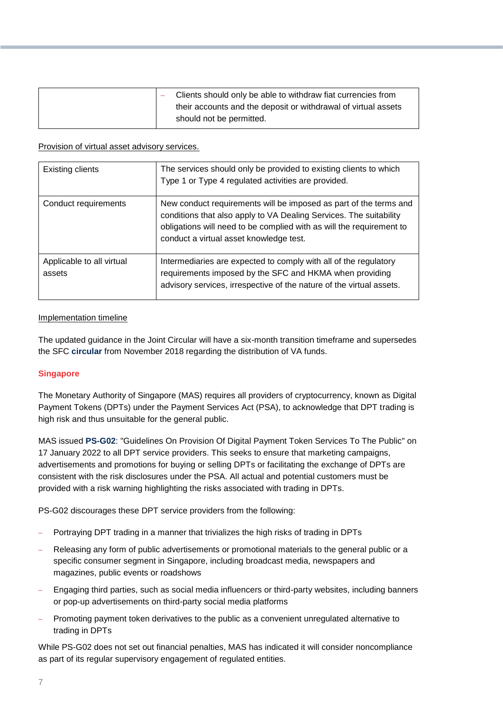| Clients should only be able to withdraw fiat currencies from<br>their accounts and the deposit or withdrawal of virtual assets |
|--------------------------------------------------------------------------------------------------------------------------------|
| should not be permitted.                                                                                                       |

#### Provision of virtual asset advisory services.

| Existing clients                    | The services should only be provided to existing clients to which<br>Type 1 or Type 4 regulated activities are provided.                                                                                                                                   |
|-------------------------------------|------------------------------------------------------------------------------------------------------------------------------------------------------------------------------------------------------------------------------------------------------------|
| Conduct requirements                | New conduct requirements will be imposed as part of the terms and<br>conditions that also apply to VA Dealing Services. The suitability<br>obligations will need to be complied with as will the requirement to<br>conduct a virtual asset knowledge test. |
| Applicable to all virtual<br>assets | Intermediaries are expected to comply with all of the regulatory<br>requirements imposed by the SFC and HKMA when providing<br>advisory services, irrespective of the nature of the virtual assets.                                                        |

#### Implementation timeline

The updated guidance in the Joint Circular will have a six-month transition timeframe and supersedes the SFC **[circular](https://apps.sfc.hk/edistributionWeb/gateway/EN/circular/intermediaries/supervision/doc?refNo=18EC78)** from November 2018 regarding the distribution of VA funds.

#### **Singapore**

The Monetary Authority of Singapore (MAS) requires all providers of cryptocurrency, known as Digital Payment Tokens (DPTs) under the Payment Services Act (PSA), to acknowledge that DPT trading is high risk and thus unsuitable for the general public.

MAS issued **[PS-G02](https://www.mas.gov.sg/regulation/guidelines/ps-g02-guidelines-on-provision-of-digital-payment-token-services-to-the-public)**: "Guidelines On Provision Of Digital Payment Token Services To The Public" on 17 January 2022 to all DPT service providers. This seeks to ensure that marketing campaigns, advertisements and promotions for buying or selling DPTs or facilitating the exchange of DPTs are consistent with the risk disclosures under the PSA. All actual and potential customers must be provided with a risk warning highlighting the risks associated with trading in DPTs.

PS-G02 discourages these DPT service providers from the following:

- Portraying DPT trading in a manner that trivializes the high risks of trading in DPTs
- Releasing any form of public advertisements or promotional materials to the general public or a specific consumer segment in Singapore, including broadcast media, newspapers and magazines, public events or roadshows
- Engaging third parties, such as social media influencers or third-party websites, including banners or pop-up advertisements on third-party social media platforms
- Promoting payment token derivatives to the public as a convenient unregulated alternative to trading in DPTs

While PS-G02 does not set out financial penalties, MAS has indicated it will consider noncompliance as part of its regular supervisory engagement of regulated entities.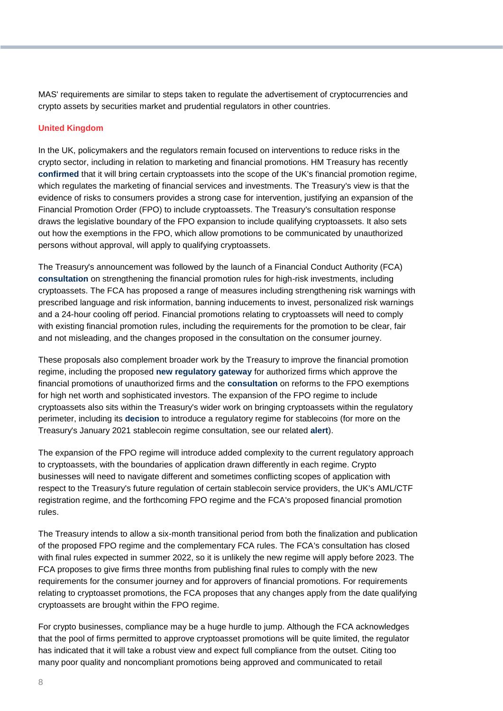MAS' requirements are similar to steps taken to regulate the advertisement of cryptocurrencies and crypto assets by securities market and prudential regulators in other countries.

#### **United Kingdom**

In the UK, policymakers and the regulators remain focused on interventions to reduce risks in the crypto sector, including in relation to marketing and financial promotions. HM Treasury has recently **[confirmed](https://assets.publishing.service.gov.uk/government/uploads/system/uploads/attachment_data/file/1047232/Cryptoasset_Financial_Promotions_Response.pdf)** that it will bring certain cryptoassets into the scope of the UK's financial promotion regime, which regulates the marketing of financial services and investments. The Treasury's view is that the evidence of risks to consumers provides a strong case for intervention, justifying an expansion of the Financial Promotion Order (FPO) to include cryptoassets. The Treasury's consultation response draws the legislative boundary of the FPO expansion to include qualifying cryptoassets. It also sets out how the exemptions in the FPO, which allow promotions to be communicated by unauthorized persons without approval, will apply to qualifying cryptoassets.

The Treasury's announcement was followed by the launch of a Financial Conduct Authority (FCA) **[consultation](https://www.fca.org.uk/publications/consultation-papers/cp22-2-strengthening-our-financial-promotion-rules-high-risk-investments-includingcryptoassets)** on strengthening the financial promotion rules for high-risk investments, including cryptoassets. The FCA has proposed a range of measures including strengthening risk warnings with prescribed language and risk information, banning inducements to invest, personalized risk warnings and a 24-hour cooling off period. Financial promotions relating to cryptoassets will need to comply with existing financial promotion rules, including the requirements for the promotion to be clear, fair and not misleading, and the changes proposed in the consultation on the consumer journey.

These proposals also complement broader work by the Treasury to improve the financial promotion regime, including the proposed **[new regulatory gateway](https://assets.publishing.service.gov.uk/government/uploads/system/uploads/attachment_data/file/995565/HMT_WR_113_Consultation_Response.pdf)** for authorized firms which approve the financial promotions of unauthorized firms and the **[consultation](https://www.gov.uk/government/consultations/financial-promotion-exemptions-for-high-net-worth-individuals-and-sophisticated-investors-a-consultation)** on reforms to the FPO exemptions for high net worth and sophisticated investors. The expansion of the FPO regime to include cryptoassets also sits within the Treasury's wider work on bringing cryptoassets within the regulatory perimeter, including its **[decision](https://assets.publishing.service.gov.uk/government/uploads/system/uploads/attachment_data/file/1066166/O-S_Stablecoins_consultation_response.pdf)** to introduce a regulatory regime for stablecoins (for more on the Treasury's January 2021 stablecoin regime consultation, see our related **[alert](https://insightplus.bakermckenzie.com/bm/banking-finance_1/united-kingdom-a-review-of-hmts-proposed-cryptoassets-regime-and-how-it-compares-to-mica)**).

The expansion of the FPO regime will introduce added complexity to the current regulatory approach to cryptoassets, with the boundaries of application drawn differently in each regime. Crypto businesses will need to navigate different and sometimes conflicting scopes of application with respect to the Treasury's future regulation of certain stablecoin service providers, the UK's AML/CTF registration regime, and the forthcoming FPO regime and the FCA's proposed financial promotion rules.

The Treasury intends to allow a six-month transitional period from both the finalization and publication of the proposed FPO regime and the complementary FCA rules. The FCA's consultation has closed with final rules expected in summer 2022, so it is unlikely the new regime will apply before 2023. The FCA proposes to give firms three months from publishing final rules to comply with the new requirements for the consumer journey and for approvers of financial promotions. For requirements relating to cryptoasset promotions, the FCA proposes that any changes apply from the date qualifying cryptoassets are brought within the FPO regime.

For crypto businesses, compliance may be a huge hurdle to jump. Although the FCA acknowledges that the pool of firms permitted to approve cryptoasset promotions will be quite limited, the regulator has indicated that it will take a robust view and expect full compliance from the outset. Citing too many poor quality and noncompliant promotions being approved and communicated to retail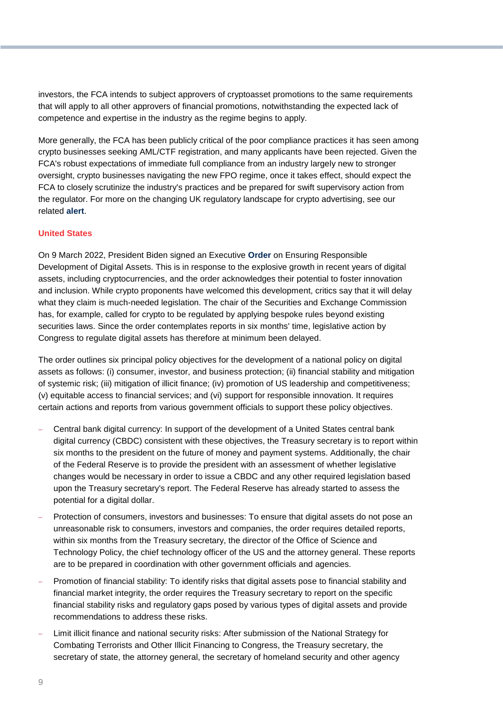investors, the FCA intends to subject approvers of cryptoasset promotions to the same requirements that will apply to all other approvers of financial promotions, notwithstanding the expected lack of competence and expertise in the industry as the regime begins to apply.

More generally, the FCA has been publicly critical of the poor compliance practices it has seen among crypto businesses seeking AML/CTF registration, and many applicants have been rejected. Given the FCA's robust expectations of immediate full compliance from an industry largely new to stronger oversight, crypto businesses navigating the new FPO regime, once it takes effect, should expect the FCA to closely scrutinize the industry's practices and be prepared for swift supervisory action from the regulator. For more on the changing UK regulatory landscape for crypto advertising, see our related **[alert](https://insightplus.bakermckenzie.com/bm/banking-finance_1/united-kingdom-the-changing-regulatory-landscape-for-crypto-advertising)**.

#### **United States**

On 9 March 2022, President Biden signed an Executive **[Order](https://www.whitehouse.gov/briefing-room/presidential-actions/2022/03/09/executive-order-on-ensuring-responsible-development-of-digital-assets/)** on Ensuring Responsible Development of Digital Assets. This is in response to the explosive growth in recent years of digital assets, including cryptocurrencies, and the order acknowledges their potential to foster innovation and inclusion. While crypto proponents have welcomed this development, critics say that it will delay what they claim is much-needed legislation. The chair of the Securities and Exchange Commission has, for example, called for crypto to be regulated by applying bespoke rules beyond existing securities laws. Since the order contemplates reports in six months' time, legislative action by Congress to regulate digital assets has therefore at minimum been delayed.

The order outlines six principal policy objectives for the development of a national policy on digital assets as follows: (i) consumer, investor, and business protection; (ii) financial stability and mitigation of systemic risk; (iii) mitigation of illicit finance; (iv) promotion of US leadership and competitiveness; (v) equitable access to financial services; and (vi) support for responsible innovation. It requires certain actions and reports from various government officials to support these policy objectives.

- Central bank digital currency: In support of the development of a United States central bank digital currency (CBDC) consistent with these objectives, the Treasury secretary is to report within six months to the president on the future of money and payment systems. Additionally, the chair of the Federal Reserve is to provide the president with an assessment of whether legislative changes would be necessary in order to issue a CBDC and any other required legislation based upon the Treasury secretary's report. The Federal Reserve has already started to assess the potential for a digital dollar.
- Protection of consumers, investors and businesses: To ensure that digital assets do not pose an unreasonable risk to consumers, investors and companies, the order requires detailed reports, within six months from the Treasury secretary, the director of the Office of Science and Technology Policy, the chief technology officer of the US and the attorney general. These reports are to be prepared in coordination with other government officials and agencies.
- Promotion of financial stability: To identify risks that digital assets pose to financial stability and financial market integrity, the order requires the Treasury secretary to report on the specific financial stability risks and regulatory gaps posed by various types of digital assets and provide recommendations to address these risks.
- Limit illicit finance and national security risks: After submission of the National Strategy for Combating Terrorists and Other Illicit Financing to Congress, the Treasury secretary, the secretary of state, the attorney general, the secretary of homeland security and other agency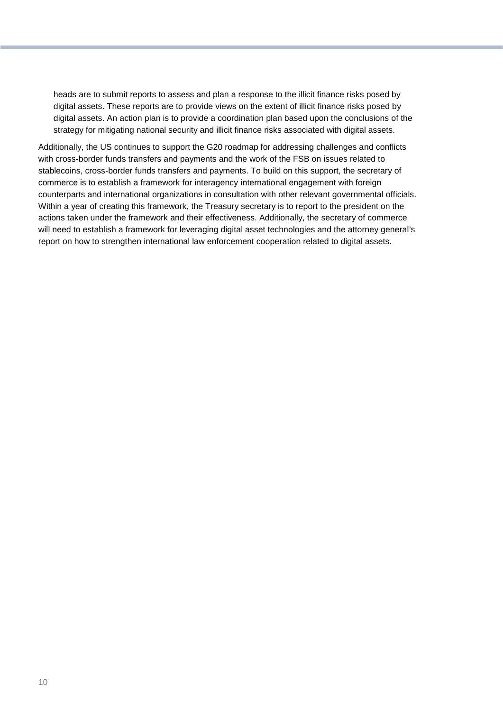heads are to submit reports to assess and plan a response to the illicit finance risks posed by digital assets. These reports are to provide views on the extent of illicit finance risks posed by digital assets. An action plan is to provide a coordination plan based upon the conclusions of the strategy for mitigating national security and illicit finance risks associated with digital assets.

Additionally, the US continues to support the G20 roadmap for addressing challenges and conflicts with cross-border funds transfers and payments and the work of the FSB on issues related to stablecoins, cross-border funds transfers and payments. To build on this support, the secretary of commerce is to establish a framework for interagency international engagement with foreign counterparts and international organizations in consultation with other relevant governmental officials. Within a year of creating this framework, the Treasury secretary is to report to the president on the actions taken under the framework and their effectiveness. Additionally, the secretary of commerce will need to establish a framework for leveraging digital asset technologies and the attorney general's report on how to strengthen international law enforcement cooperation related to digital assets.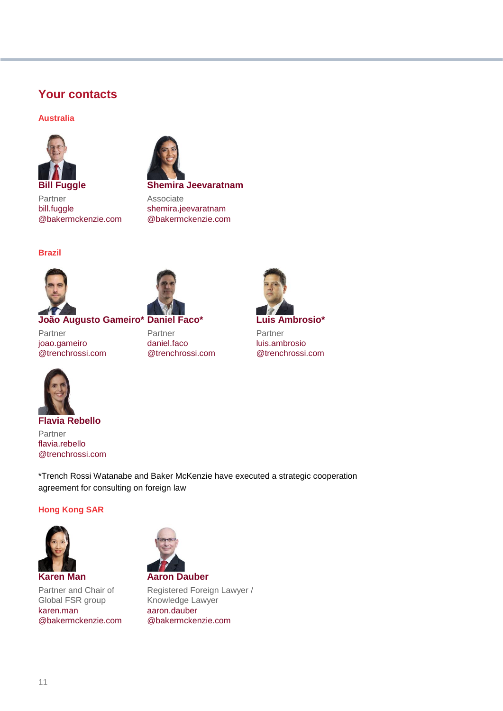#### **Your contacts**

#### **Australia**



**Shemira Jeevaratnam**

Associate

[shemira.jeevaratnam](mailto:shemira.jeevaratnam@bakermckenzie.com) [@bakermckenzie.com](mailto:shemira.jeevaratnam@bakermckenzie.com)

Partner [bill.fuggle](mailto:bill.fuggle@bakermckenzie.com) [@bakermckenzie.com](mailto:bill.fuggle@bakermckenzie.com)





Partner [joao.gameiro](mailto:joao.gameiro@trenchrossi.com) [@trenchrossi.com](mailto:joao.gameiro@trenchrossi.com)





Partner [luis.ambrosio](mailto:luis.ambrosio@trenchrossi.com) [@trenchrossi.com](mailto:luis.ambrosio@trenchrossi.com)



Partner [flavia.rebello](mailto:flavia.rebello@trenchrossi.com) [@trenchrossi.com](mailto:flavia.rebello@trenchrossi.com)

\*Trench Rossi Watanabe and Baker McKenzie have executed a strategic cooperation agreement for consulting on foreign law

#### **Hong Kong SAR**



Partner and Chair of Global FSR group [karen.man](mailto:karen.man@bakermckenzie.com) [@bakermckenzie.com](mailto:karen.man@bakermckenzie.com)



Registered Foreign Lawyer / Knowledge Lawyer [aaron.dauber](mailto:aaron.dauber@bakermckenzie.com) [@bakermckenzie.com](mailto:aaron.dauber@bakermckenzie.com)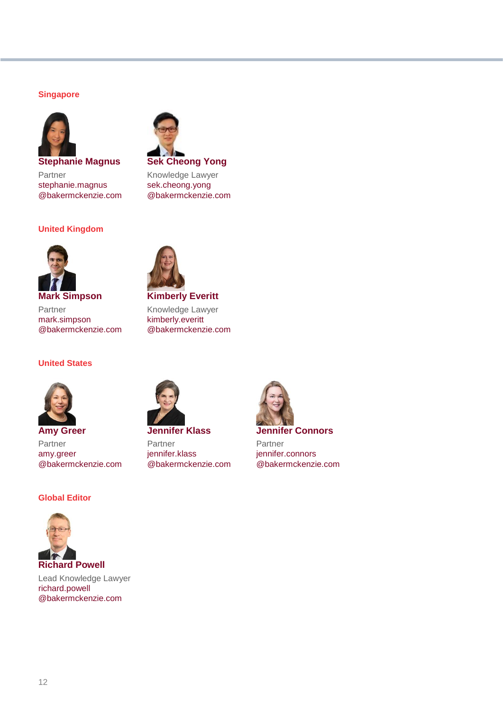#### **Singapore**



**Stephanie Magnus** Partner [stephanie.magnus](mailto:stephanie.magnus@bakermckenzie.com) [@bakermckenzie.com](mailto:stephanie.magnus@bakermckenzie.com)

#### **United Kingdom**



Knowledge Lawyer [sek.cheong.yong](mailto:sek.cheong.yong@bakermckenzie.com) [@bakermckenzie.com](mailto:sek.cheong.yong@bakermckenzie.com)



**Mark Simpson** Partner [mark.simpson](mailto:mark.simpson@bakermckenzie.com) [@bakermckenzie.com](mailto:mark.simpson@bakermckenzie.com)

#### **United States**



**Amy Greer** Partner [amy.greer](mailto:amy.greer@bakermckenzie.com) [@bakermckenzie.com](mailto:amy.greer@bakermckenzie.com)

#### **Global Editor**



Lead Knowledge Lawyer [richard.powell](mailto:richard.powell@bakermckenzie.com) [@bakermckenzie.com](mailto:richard.powell@bakermckenzie.com)



**Kimberly Everitt** Knowledge Lawyer



**Jennifer Klass** Partner [jennifer.klass](mailto:jennifer.klass@bakermckenzie.com)

[@bakermckenzie.com](mailto:jennifer.klass@bakermckenzie.com)



**Jennifer Connors**

Partner [jennifer.connors](mailto:jennifer.connors@bakermckenzie.com) [@bakermckenzie.com](mailto:jennifer.connors@bakermckenzie.com)